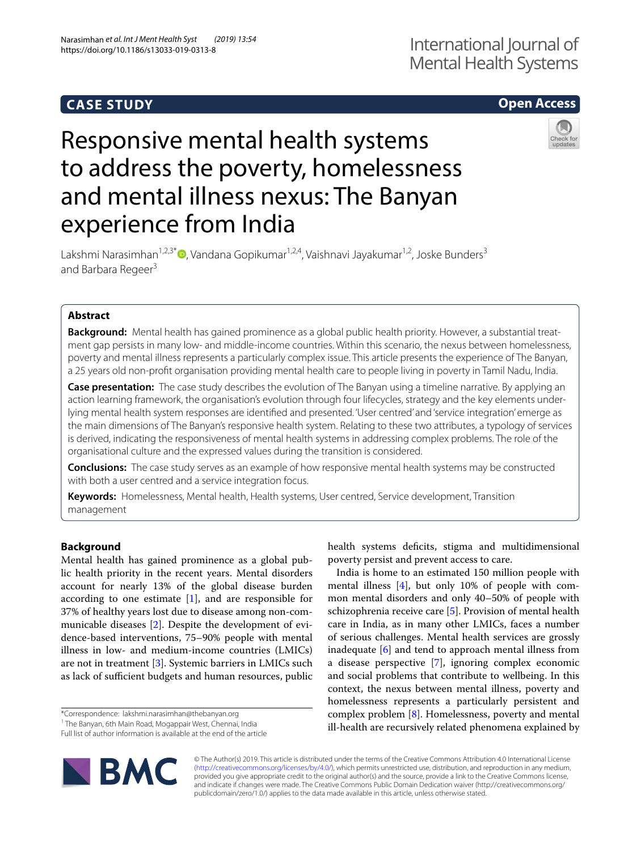# **CASE STUDY**

## **Open Access**

# Responsive mental health systems to address the poverty, homelessness and mental illness nexus: The Banyan experience from India



Lakshmi Narasimhan<sup>1[,](http://orcid.org/0000-0001-6822-7349)2,3\*</sup> $\bullet$ , Vandana Gopikumar<sup>1,2,4</sup>, Vaishnavi Jayakumar<sup>1,2</sup>, Joske Bunders<sup>3</sup> and Barbara Regeer<sup>3</sup>

### **Abstract**

**Background:** Mental health has gained prominence as a global public health priority. However, a substantial treatment gap persists in many low- and middle-income countries. Within this scenario, the nexus between homelessness, poverty and mental illness represents a particularly complex issue. This article presents the experience of The Banyan, a 25 years old non-proft organisation providing mental health care to people living in poverty in Tamil Nadu, India.

**Case presentation:** The case study describes the evolution of The Banyan using a timeline narrative. By applying an action learning framework, the organisation's evolution through four lifecycles, strategy and the key elements underlying mental health system responses are identifed and presented. 'User centred' and 'service integration' emerge as the main dimensions of The Banyan's responsive health system. Relating to these two attributes, a typology of services is derived, indicating the responsiveness of mental health systems in addressing complex problems. The role of the organisational culture and the expressed values during the transition is considered.

**Conclusions:** The case study serves as an example of how responsive mental health systems may be constructed with both a user centred and a service integration focus.

**Keywords:** Homelessness, Mental health, Health systems, User centred, Service development, Transition management

#### **Background**

Mental health has gained prominence as a global public health priority in the recent years. Mental disorders account for nearly 13% of the global disease burden according to one estimate [[1\]](#page-8-0), and are responsible for 37% of healthy years lost due to disease among non-communicable diseases [\[2](#page-8-1)]. Despite the development of evidence-based interventions, 75–90% people with mental illness in low- and medium-income countries (LMICs) are not in treatment [\[3](#page-8-2)]. Systemic barriers in LMICs such as lack of sufficient budgets and human resources, public

\*Correspondence: lakshmi.narasimhan@thebanyan.org

Full list of author information is available at the end of the article



health systems defcits, stigma and multidimensional poverty persist and prevent access to care.

India is home to an estimated 150 million people with mental illness [\[4](#page-8-3)], but only 10% of people with common mental disorders and only 40–50% of people with schizophrenia receive care [\[5](#page-8-4)]. Provision of mental health care in India, as in many other LMICs, faces a number of serious challenges. Mental health services are grossly inadequate [[6\]](#page-9-0) and tend to approach mental illness from a disease perspective [[7\]](#page-9-1), ignoring complex economic and social problems that contribute to wellbeing. In this context, the nexus between mental illness, poverty and homelessness represents a particularly persistent and complex problem [[8](#page-9-2)]. Homelessness, poverty and mental ill-health are recursively related phenomena explained by

© The Author(s) 2019. This article is distributed under the terms of the Creative Commons Attribution 4.0 International License [\(http://creativecommons.org/licenses/by/4.0/\)](http://creativecommons.org/licenses/by/4.0/), which permits unrestricted use, distribution, and reproduction in any medium, provided you give appropriate credit to the original author(s) and the source, provide a link to the Creative Commons license, and indicate if changes were made. The Creative Commons Public Domain Dedication waiver (http://creativecommons.org/ publicdomain/zero/1.0/) applies to the data made available in this article, unless otherwise stated.

<sup>&</sup>lt;sup>1</sup> The Banyan, 6th Main Road, Mogappair West, Chennai, India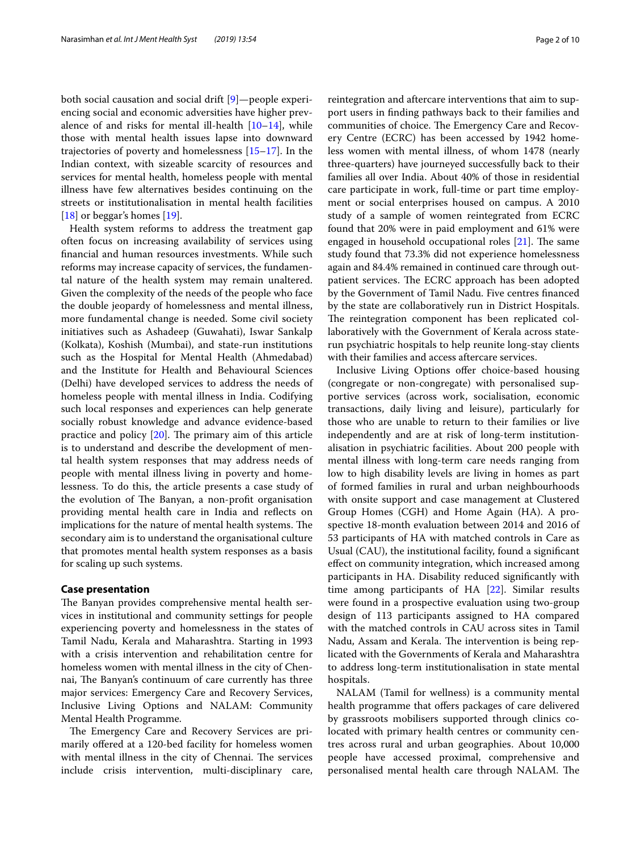both social causation and social drift [\[9\]](#page-9-3)—people experiencing social and economic adversities have higher prevalence of and risks for mental ill-health  $[10-14]$  $[10-14]$ , while those with mental health issues lapse into downward trajectories of poverty and homelessness [\[15](#page-9-6)[–17](#page-9-7)]. In the Indian context, with sizeable scarcity of resources and services for mental health, homeless people with mental illness have few alternatives besides continuing on the streets or institutionalisation in mental health facilities [[18\]](#page-9-8) or beggar's homes [\[19](#page-9-9)].

Health system reforms to address the treatment gap often focus on increasing availability of services using fnancial and human resources investments. While such reforms may increase capacity of services, the fundamental nature of the health system may remain unaltered. Given the complexity of the needs of the people who face the double jeopardy of homelessness and mental illness, more fundamental change is needed. Some civil society initiatives such as Ashadeep (Guwahati), Iswar Sankalp (Kolkata), Koshish (Mumbai), and state-run institutions such as the Hospital for Mental Health (Ahmedabad) and the Institute for Health and Behavioural Sciences (Delhi) have developed services to address the needs of homeless people with mental illness in India. Codifying such local responses and experiences can help generate socially robust knowledge and advance evidence-based practice and policy  $[20]$  $[20]$ . The primary aim of this article is to understand and describe the development of mental health system responses that may address needs of people with mental illness living in poverty and homelessness. To do this, the article presents a case study of the evolution of The Banyan, a non-profit organisation providing mental health care in India and refects on implications for the nature of mental health systems. The secondary aim is to understand the organisational culture that promotes mental health system responses as a basis for scaling up such systems.

#### **Case presentation**

The Banyan provides comprehensive mental health services in institutional and community settings for people experiencing poverty and homelessness in the states of Tamil Nadu, Kerala and Maharashtra. Starting in 1993 with a crisis intervention and rehabilitation centre for homeless women with mental illness in the city of Chennai, The Banyan's continuum of care currently has three major services: Emergency Care and Recovery Services, Inclusive Living Options and NALAM: Community Mental Health Programme.

The Emergency Care and Recovery Services are primarily offered at a 120-bed facility for homeless women with mental illness in the city of Chennai. The services include crisis intervention, multi-disciplinary care, reintegration and aftercare interventions that aim to support users in fnding pathways back to their families and communities of choice. The Emergency Care and Recovery Centre (ECRC) has been accessed by 1942 homeless women with mental illness, of whom 1478 (nearly three-quarters) have journeyed successfully back to their families all over India. About 40% of those in residential care participate in work, full-time or part time employment or social enterprises housed on campus. A 2010 study of a sample of women reintegrated from ECRC found that 20% were in paid employment and 61% were engaged in household occupational roles  $[21]$  $[21]$  $[21]$ . The same study found that 73.3% did not experience homelessness again and 84.4% remained in continued care through outpatient services. The ECRC approach has been adopted by the Government of Tamil Nadu. Five centres fnanced

by the state are collaboratively run in District Hospitals. The reintegration component has been replicated collaboratively with the Government of Kerala across staterun psychiatric hospitals to help reunite long-stay clients with their families and access aftercare services.

Inclusive Living Options offer choice-based housing (congregate or non-congregate) with personalised supportive services (across work, socialisation, economic transactions, daily living and leisure), particularly for those who are unable to return to their families or live independently and are at risk of long-term institutionalisation in psychiatric facilities. About 200 people with mental illness with long-term care needs ranging from low to high disability levels are living in homes as part of formed families in rural and urban neighbourhoods with onsite support and case management at Clustered Group Homes (CGH) and Home Again (HA). A prospective 18-month evaluation between 2014 and 2016 of 53 participants of HA with matched controls in Care as Usual (CAU), the institutional facility, found a signifcant efect on community integration, which increased among participants in HA. Disability reduced signifcantly with time among participants of HA [\[22](#page-9-12)]. Similar results were found in a prospective evaluation using two-group design of 113 participants assigned to HA compared with the matched controls in CAU across sites in Tamil Nadu, Assam and Kerala. The intervention is being replicated with the Governments of Kerala and Maharashtra to address long-term institutionalisation in state mental hospitals.

NALAM (Tamil for wellness) is a community mental health programme that offers packages of care delivered by grassroots mobilisers supported through clinics colocated with primary health centres or community centres across rural and urban geographies. About 10,000 people have accessed proximal, comprehensive and personalised mental health care through NALAM. The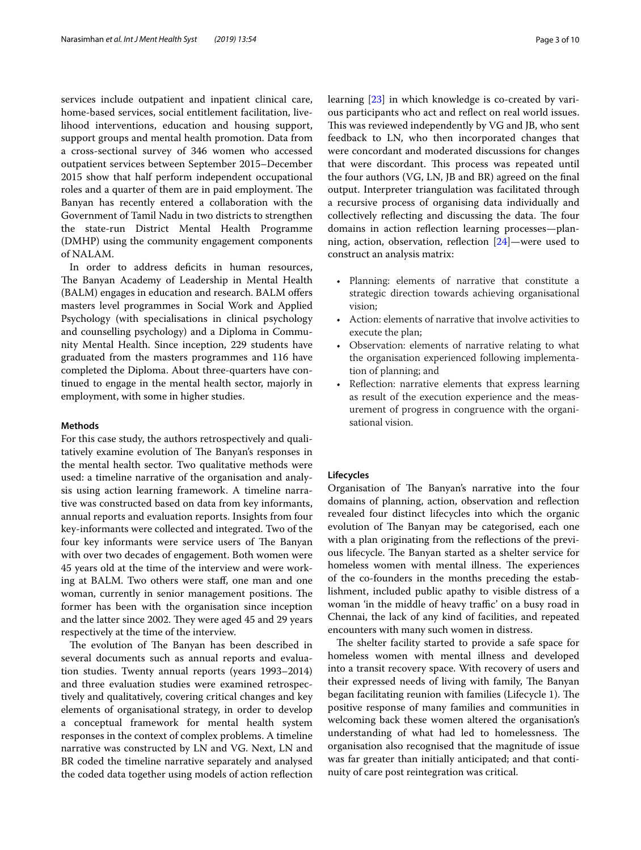services include outpatient and inpatient clinical care, home-based services, social entitlement facilitation, livelihood interventions, education and housing support, support groups and mental health promotion. Data from a cross-sectional survey of 346 women who accessed outpatient services between September 2015–December 2015 show that half perform independent occupational roles and a quarter of them are in paid employment. The Banyan has recently entered a collaboration with the Government of Tamil Nadu in two districts to strengthen the state-run District Mental Health Programme (DMHP) using the community engagement components of NALAM.

In order to address deficits in human resources, The Banyan Academy of Leadership in Mental Health (BALM) engages in education and research. BALM offers masters level programmes in Social Work and Applied Psychology (with specialisations in clinical psychology and counselling psychology) and a Diploma in Community Mental Health. Since inception, 229 students have graduated from the masters programmes and 116 have completed the Diploma. About three-quarters have continued to engage in the mental health sector, majorly in employment, with some in higher studies.

#### **Methods**

For this case study, the authors retrospectively and qualitatively examine evolution of The Banyan's responses in the mental health sector. Two qualitative methods were used: a timeline narrative of the organisation and analysis using action learning framework. A timeline narrative was constructed based on data from key informants, annual reports and evaluation reports. Insights from four key-informants were collected and integrated. Two of the four key informants were service users of The Banyan with over two decades of engagement. Both women were 45 years old at the time of the interview and were working at BALM. Two others were staf, one man and one woman, currently in senior management positions. The former has been with the organisation since inception and the latter since 2002. They were aged 45 and 29 years respectively at the time of the interview.

The evolution of The Banyan has been described in several documents such as annual reports and evaluation studies. Twenty annual reports (years 1993–2014) and three evaluation studies were examined retrospectively and qualitatively, covering critical changes and key elements of organisational strategy, in order to develop a conceptual framework for mental health system responses in the context of complex problems. A timeline narrative was constructed by LN and VG. Next, LN and BR coded the timeline narrative separately and analysed the coded data together using models of action refection learning [\[23\]](#page-9-13) in which knowledge is co-created by various participants who act and refect on real world issues. This was reviewed independently by VG and JB, who sent feedback to LN, who then incorporated changes that were concordant and moderated discussions for changes that were discordant. This process was repeated until the four authors (VG, LN, JB and BR) agreed on the fnal output. Interpreter triangulation was facilitated through a recursive process of organising data individually and collectively reflecting and discussing the data. The four domains in action refection learning processes—planning, action, observation, refection [[24](#page-9-14)]—were used to construct an analysis matrix:

- Planning: elements of narrative that constitute a strategic direction towards achieving organisational vision;
- Action: elements of narrative that involve activities to execute the plan;
- Observation: elements of narrative relating to what the organisation experienced following implementation of planning; and
- Reflection: narrative elements that express learning as result of the execution experience and the measurement of progress in congruence with the organisational vision.

#### **Lifecycles**

Organisation of The Banyan's narrative into the four domains of planning, action, observation and refection revealed four distinct lifecycles into which the organic evolution of The Banyan may be categorised, each one with a plan originating from the reflections of the previous lifecycle. The Banyan started as a shelter service for homeless women with mental illness. The experiences of the co-founders in the months preceding the establishment, included public apathy to visible distress of a woman 'in the middle of heavy traffic' on a busy road in Chennai, the lack of any kind of facilities, and repeated encounters with many such women in distress.

The shelter facility started to provide a safe space for homeless women with mental illness and developed into a transit recovery space. With recovery of users and their expressed needs of living with family, The Banyan began facilitating reunion with families (Lifecycle 1). The positive response of many families and communities in welcoming back these women altered the organisation's understanding of what had led to homelessness. The organisation also recognised that the magnitude of issue was far greater than initially anticipated; and that continuity of care post reintegration was critical.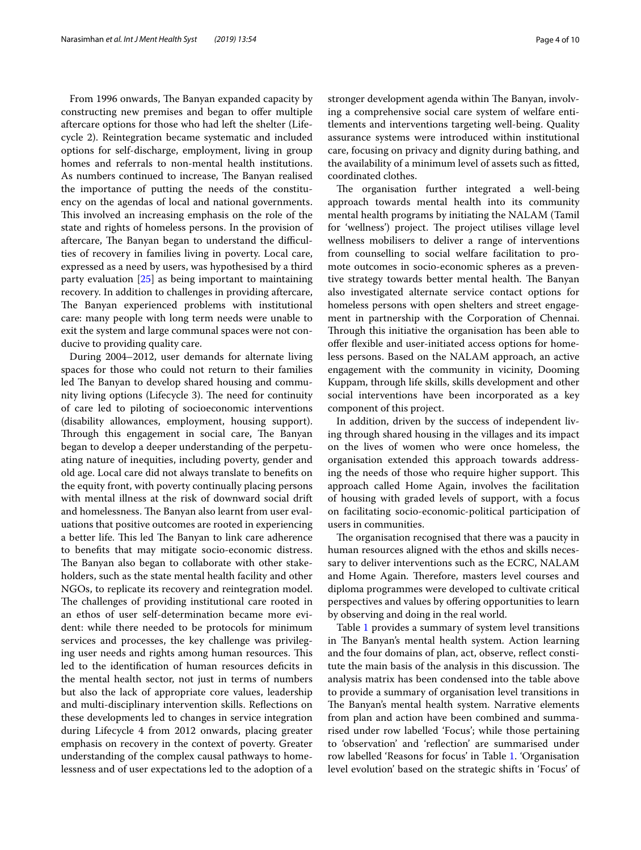From 1996 onwards, The Banyan expanded capacity by constructing new premises and began to offer multiple aftercare options for those who had left the shelter (Lifecycle 2). Reintegration became systematic and included options for self-discharge, employment, living in group homes and referrals to non-mental health institutions. As numbers continued to increase, The Banyan realised the importance of putting the needs of the constituency on the agendas of local and national governments. This involved an increasing emphasis on the role of the state and rights of homeless persons. In the provision of aftercare, The Banyan began to understand the difficulties of recovery in families living in poverty. Local care, expressed as a need by users, was hypothesised by a third party evaluation [[25](#page-9-15)] as being important to maintaining recovery. In addition to challenges in providing aftercare, The Banyan experienced problems with institutional care: many people with long term needs were unable to exit the system and large communal spaces were not conducive to providing quality care.

During 2004–2012, user demands for alternate living spaces for those who could not return to their families led The Banyan to develop shared housing and community living options (Lifecycle 3). The need for continuity of care led to piloting of socioeconomic interventions (disability allowances, employment, housing support). Through this engagement in social care, The Banyan began to develop a deeper understanding of the perpetuating nature of inequities, including poverty, gender and old age. Local care did not always translate to benefts on the equity front, with poverty continually placing persons with mental illness at the risk of downward social drift and homelessness. The Banyan also learnt from user evaluations that positive outcomes are rooted in experiencing a better life. This led The Banyan to link care adherence to benefts that may mitigate socio-economic distress. The Banyan also began to collaborate with other stakeholders, such as the state mental health facility and other NGOs, to replicate its recovery and reintegration model. The challenges of providing institutional care rooted in an ethos of user self-determination became more evident: while there needed to be protocols for minimum services and processes, the key challenge was privileging user needs and rights among human resources. This led to the identifcation of human resources defcits in the mental health sector, not just in terms of numbers but also the lack of appropriate core values, leadership and multi-disciplinary intervention skills. Refections on these developments led to changes in service integration during Lifecycle 4 from 2012 onwards, placing greater emphasis on recovery in the context of poverty. Greater understanding of the complex causal pathways to homelessness and of user expectations led to the adoption of a stronger development agenda within The Banyan, involving a comprehensive social care system of welfare entitlements and interventions targeting well-being. Quality assurance systems were introduced within institutional care, focusing on privacy and dignity during bathing, and the availability of a minimum level of assets such as ftted,

coordinated clothes. The organisation further integrated a well-being approach towards mental health into its community mental health programs by initiating the NALAM (Tamil for 'wellness') project. The project utilises village level wellness mobilisers to deliver a range of interventions from counselling to social welfare facilitation to promote outcomes in socio-economic spheres as a preventive strategy towards better mental health. The Banyan also investigated alternate service contact options for homeless persons with open shelters and street engagement in partnership with the Corporation of Chennai. Through this initiative the organisation has been able to ofer fexible and user-initiated access options for homeless persons. Based on the NALAM approach, an active engagement with the community in vicinity, Dooming Kuppam, through life skills, skills development and other social interventions have been incorporated as a key component of this project.

In addition, driven by the success of independent living through shared housing in the villages and its impact on the lives of women who were once homeless, the organisation extended this approach towards addressing the needs of those who require higher support. This approach called Home Again, involves the facilitation of housing with graded levels of support, with a focus on facilitating socio-economic-political participation of users in communities.

The organisation recognised that there was a paucity in human resources aligned with the ethos and skills necessary to deliver interventions such as the ECRC, NALAM and Home Again. Therefore, masters level courses and diploma programmes were developed to cultivate critical perspectives and values by offering opportunities to learn by observing and doing in the real world.

Table [1](#page-4-0) provides a summary of system level transitions in The Banyan's mental health system. Action learning and the four domains of plan, act, observe, refect constitute the main basis of the analysis in this discussion. The analysis matrix has been condensed into the table above to provide a summary of organisation level transitions in The Banyan's mental health system. Narrative elements from plan and action have been combined and summarised under row labelled 'Focus'; while those pertaining to 'observation' and 'refection' are summarised under row labelled 'Reasons for focus' in Table [1](#page-4-0). 'Organisation level evolution' based on the strategic shifts in 'Focus' of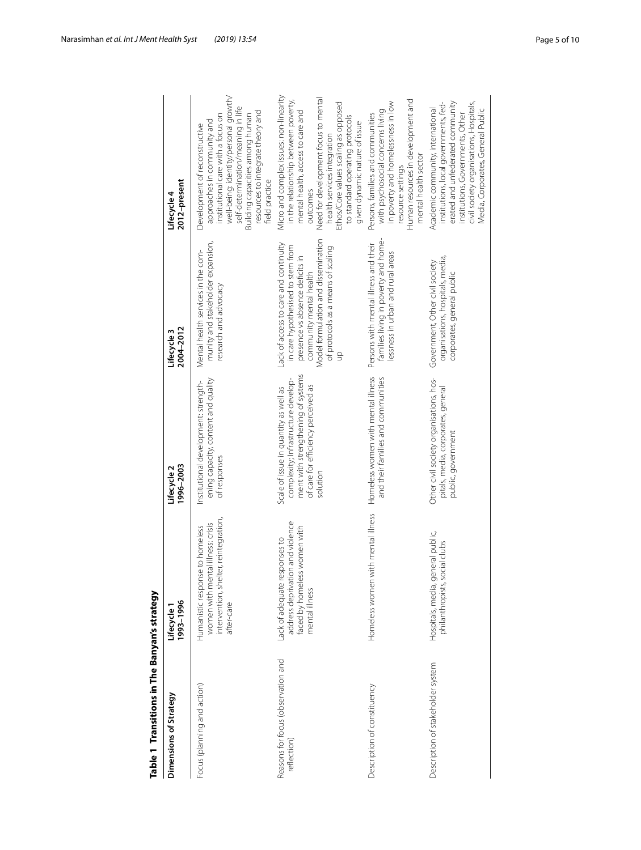<span id="page-4-0"></span>

| Table 1 Transitions in The Banyan's strategy      |                                                                                                                             |                                                                                                                                                                       |                                                                                                                                                                                                                             |                                                                                                                                                                                                                                                                                                                     |
|---------------------------------------------------|-----------------------------------------------------------------------------------------------------------------------------|-----------------------------------------------------------------------------------------------------------------------------------------------------------------------|-----------------------------------------------------------------------------------------------------------------------------------------------------------------------------------------------------------------------------|---------------------------------------------------------------------------------------------------------------------------------------------------------------------------------------------------------------------------------------------------------------------------------------------------------------------|
| Dimensions of Strategy                            | 1993-1996<br>Lifecycle 1                                                                                                    | 1996-2003<br>Lifecycle 2                                                                                                                                              | 2004-2012<br>Lifecycle 3                                                                                                                                                                                                    | 2012-present<br>Lifecycle 4                                                                                                                                                                                                                                                                                         |
| Focus (planning and action)                       | intervention, shelter, reintegration,<br>women with mental illness: crisis<br>Humanistic response to homeless<br>after-care | ening capacity, content and quality<br>Institutional development: strength-<br>of responses                                                                           | munity and stakeholder expansion,<br>Mental health services in the com-<br>research and advocacy                                                                                                                            | well-being: identity/personal growth/<br>self-determination/meaning in life<br>resources to integrate theory and<br>institutional care with a focus on<br>Building capacities among human<br>approaches in community and<br>Development of reconstructive<br>field practice                                         |
| Reasons for focus (observation and<br>reflection) | address deprivation and violence<br>faced by homeless women with<br>Lack of adequate responses to<br>mental illness         | ment with strengthening of systems<br>complexity; Infrastructure develop-<br>of care for efficiency perceived as<br>Scale of issue in quantity as well as<br>solution | Model formulation and dissemination<br>Lack of access to care and continuity<br>in care hypothesised to stem from<br>of protocols as a means of scaling<br>presence vs absence deficits in<br>community mental health<br>qn | Micro and complex issues: non-linearity<br>Need for development focus to mental<br>in the relationship between poverty,<br>Ethos/Core values scaling as opposed<br>mental health, access to care and<br>to standard operating protocols<br>given dynamic nature of issue<br>health services integration<br>outcomes |
| Description of constituency                       | Homeless women with mental illness                                                                                          | Homeless women with mental illness<br>and their families and communities                                                                                              | families living in poverty and home-<br>Persons with mental illness and their<br>essness in urban and rural areas                                                                                                           | Human resources in development and<br>in poverty and homelessness in low<br>with psychosocial concerns living<br>Persons, families and communities<br>mental health sector<br>resource settings                                                                                                                     |
| Description of stakeholder system                 | Hospitals, media, general public,<br>philanthropists, social clubs                                                          | Other civil society organisations, hos-<br>pitals, media, corporates, general<br>public, government                                                                   | organisations, hospitals, media,<br>Government, Other civil society<br>corporates, general public                                                                                                                           | erated and unfederated community<br>civil society organisations, Hospitals,<br>institutions, local governments, fed-<br>Academic community, international<br>Media, Corporates, General Public<br>institutions, Governments, Other                                                                                  |
|                                                   |                                                                                                                             |                                                                                                                                                                       |                                                                                                                                                                                                                             |                                                                                                                                                                                                                                                                                                                     |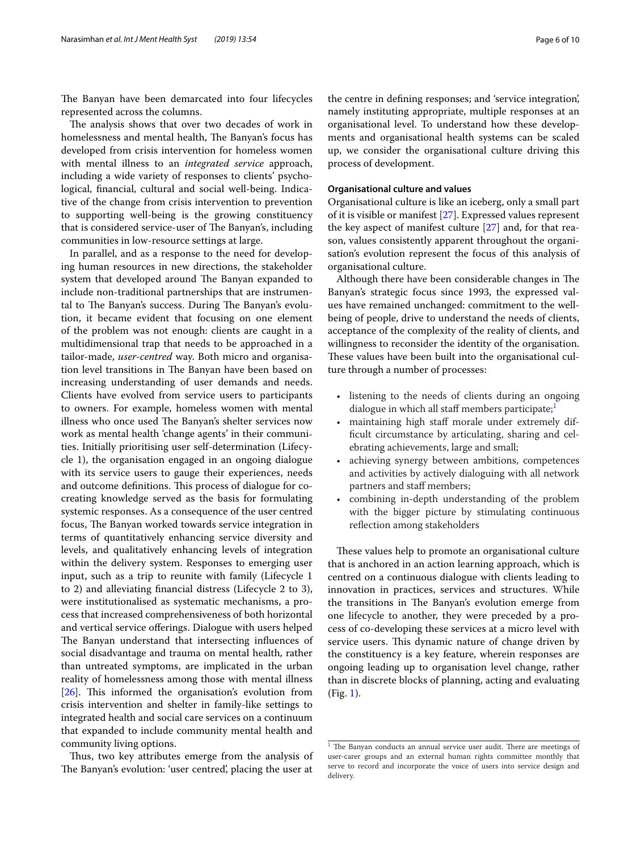The Banyan have been demarcated into four lifecycles represented across the columns.

The analysis shows that over two decades of work in homelessness and mental health, The Banyan's focus has developed from crisis intervention for homeless women with mental illness to an *integrated service* approach, including a wide variety of responses to clients' psychological, fnancial, cultural and social well-being. Indicative of the change from crisis intervention to prevention to supporting well-being is the growing constituency that is considered service-user of The Banyan's, including communities in low-resource settings at large.

In parallel, and as a response to the need for developing human resources in new directions, the stakeholder system that developed around The Banyan expanded to include non-traditional partnerships that are instrumental to The Banyan's success. During The Banyan's evolution, it became evident that focusing on one element of the problem was not enough: clients are caught in a multidimensional trap that needs to be approached in a tailor-made, *user*-*centred* way. Both micro and organisation level transitions in The Banyan have been based on increasing understanding of user demands and needs. Clients have evolved from service users to participants to owners. For example, homeless women with mental illness who once used The Banyan's shelter services now work as mental health 'change agents' in their communities. Initially prioritising user self-determination (Lifecycle 1), the organisation engaged in an ongoing dialogue with its service users to gauge their experiences, needs and outcome definitions. This process of dialogue for cocreating knowledge served as the basis for formulating systemic responses. As a consequence of the user centred focus, The Banyan worked towards service integration in terms of quantitatively enhancing service diversity and levels, and qualitatively enhancing levels of integration within the delivery system. Responses to emerging user input, such as a trip to reunite with family (Lifecycle 1 to 2) and alleviating fnancial distress (Lifecycle 2 to 3), were institutionalised as systematic mechanisms, a process that increased comprehensiveness of both horizontal and vertical service oferings. Dialogue with users helped The Banyan understand that intersecting influences of social disadvantage and trauma on mental health, rather than untreated symptoms, are implicated in the urban reality of homelessness among those with mental illness  $[26]$  $[26]$ . This informed the organisation's evolution from crisis intervention and shelter in family-like settings to integrated health and social care services on a continuum that expanded to include community mental health and community living options.

Thus, two key attributes emerge from the analysis of The Banyan's evolution: 'user centred', placing the user at

the centre in defning responses; and 'service integration', namely instituting appropriate, multiple responses at an organisational level. To understand how these developments and organisational health systems can be scaled up, we consider the organisational culture driving this process of development.

#### **Organisational culture and values**

Organisational culture is like an iceberg, only a small part of it is visible or manifest [\[27](#page-9-17)]. Expressed values represent the key aspect of manifest culture [[27](#page-9-17)] and, for that reason, values consistently apparent throughout the organisation's evolution represent the focus of this analysis of organisational culture.

Although there have been considerable changes in The Banyan's strategic focus since 1993, the expressed values have remained unchanged: commitment to the wellbeing of people, drive to understand the needs of clients, acceptance of the complexity of the reality of clients, and willingness to reconsider the identity of the organisation. These values have been built into the organisational culture through a number of processes:

- listening to the needs of clients during an ongoing dialogue in which all staff members participate; $\frac{1}{1}$  $\frac{1}{1}$  $\frac{1}{1}$
- maintaining high staf morale under extremely diffcult circumstance by articulating, sharing and celebrating achievements, large and small;
- achieving synergy between ambitions, competences and activities by actively dialoguing with all network partners and staff members;
- combining in-depth understanding of the problem with the bigger picture by stimulating continuous refection among stakeholders

These values help to promote an organisational culture that is anchored in an action learning approach, which is centred on a continuous dialogue with clients leading to innovation in practices, services and structures. While the transitions in The Banyan's evolution emerge from one lifecycle to another, they were preceded by a process of co-developing these services at a micro level with service users. This dynamic nature of change driven by the constituency is a key feature, wherein responses are ongoing leading up to organisation level change, rather than in discrete blocks of planning, acting and evaluating (Fig. [1\)](#page-6-0).

<span id="page-5-0"></span> $1$  The Banyan conducts an annual service user audit. There are meetings of user-carer groups and an external human rights committee monthly that serve to record and incorporate the voice of users into service design and delivery.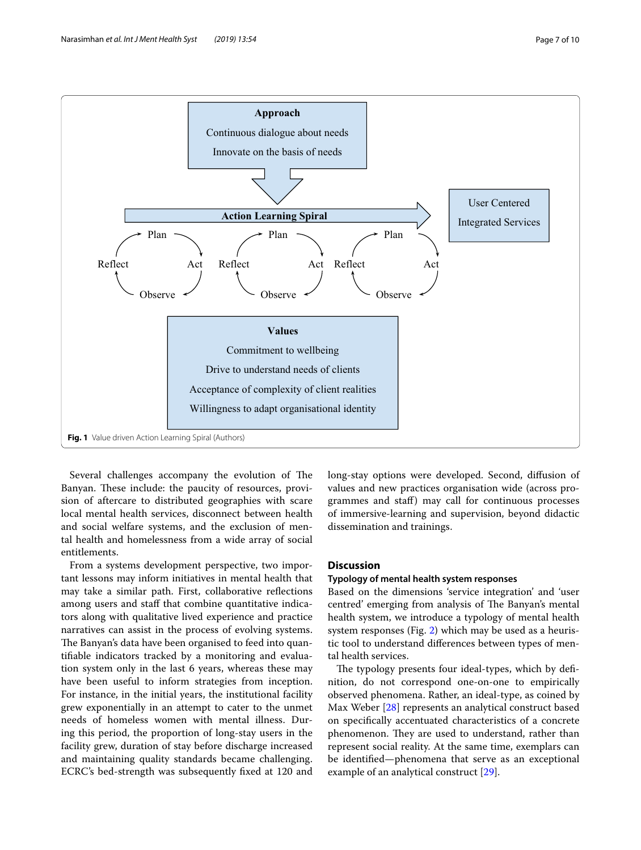

<span id="page-6-0"></span>Several challenges accompany the evolution of The Banyan. These include: the paucity of resources, provision of aftercare to distributed geographies with scare local mental health services, disconnect between health and social welfare systems, and the exclusion of mental health and homelessness from a wide array of social entitlements.

From a systems development perspective, two important lessons may inform initiatives in mental health that may take a similar path. First, collaborative refections among users and staff that combine quantitative indicators along with qualitative lived experience and practice narratives can assist in the process of evolving systems. The Banyan's data have been organised to feed into quantifable indicators tracked by a monitoring and evaluation system only in the last 6 years, whereas these may have been useful to inform strategies from inception. For instance, in the initial years, the institutional facility grew exponentially in an attempt to cater to the unmet needs of homeless women with mental illness. During this period, the proportion of long-stay users in the facility grew, duration of stay before discharge increased and maintaining quality standards became challenging. ECRC's bed-strength was subsequently fxed at 120 and long-stay options were developed. Second, difusion of values and new practices organisation wide (across programmes and staf) may call for continuous processes of immersive-learning and supervision, beyond didactic dissemination and trainings.

#### **Discussion**

#### **Typology of mental health system responses**

Based on the dimensions 'service integration' and 'user centred' emerging from analysis of The Banyan's mental health system, we introduce a typology of mental health system responses (Fig. [2\)](#page-7-0) which may be used as a heuristic tool to understand diferences between types of mental health services.

The typology presents four ideal-types, which by definition, do not correspond one-on-one to empirically observed phenomena. Rather, an ideal-type, as coined by Max Weber [[28\]](#page-9-18) represents an analytical construct based on specifcally accentuated characteristics of a concrete phenomenon. They are used to understand, rather than represent social reality. At the same time, exemplars can be identifed—phenomena that serve as an exceptional example of an analytical construct [\[29](#page-9-19)].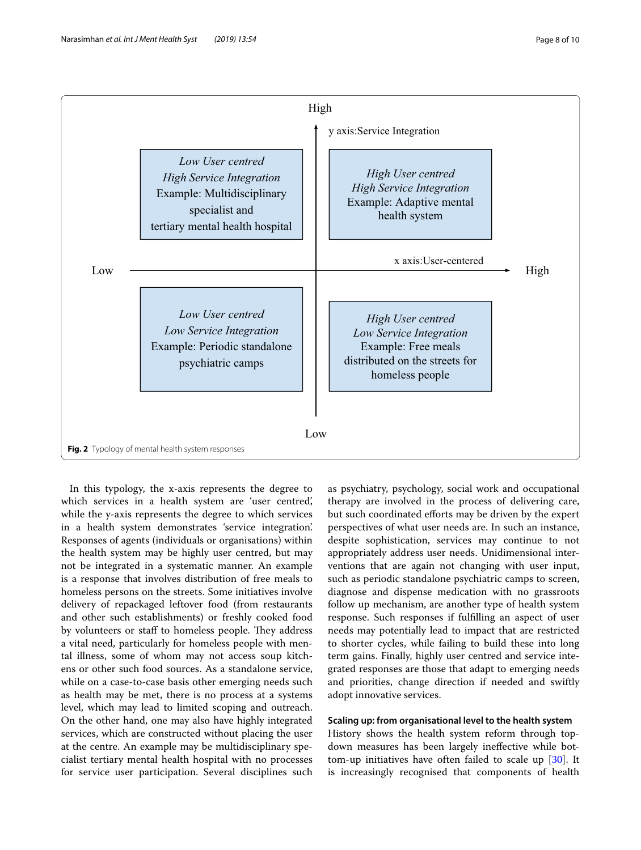

<span id="page-7-0"></span>In this typology, the x-axis represents the degree to which services in a health system are 'user centred', while the y-axis represents the degree to which services in a health system demonstrates 'service integration'. Responses of agents (individuals or organisations) within the health system may be highly user centred, but may not be integrated in a systematic manner. An example is a response that involves distribution of free meals to homeless persons on the streets. Some initiatives involve delivery of repackaged leftover food (from restaurants and other such establishments) or freshly cooked food by volunteers or staff to homeless people. They address a vital need, particularly for homeless people with mental illness, some of whom may not access soup kitchens or other such food sources. As a standalone service, while on a case-to-case basis other emerging needs such as health may be met, there is no process at a systems level, which may lead to limited scoping and outreach. On the other hand, one may also have highly integrated services, which are constructed without placing the user at the centre. An example may be multidisciplinary specialist tertiary mental health hospital with no processes for service user participation. Several disciplines such

as psychiatry, psychology, social work and occupational therapy are involved in the process of delivering care, but such coordinated efforts may be driven by the expert perspectives of what user needs are. In such an instance, despite sophistication, services may continue to not appropriately address user needs. Unidimensional interventions that are again not changing with user input, such as periodic standalone psychiatric camps to screen, diagnose and dispense medication with no grassroots follow up mechanism, are another type of health system response. Such responses if fulflling an aspect of user needs may potentially lead to impact that are restricted to shorter cycles, while failing to build these into long term gains. Finally, highly user centred and service integrated responses are those that adapt to emerging needs and priorities, change direction if needed and swiftly adopt innovative services.

#### **Scaling up: from organisational level to the health system**

History shows the health system reform through topdown measures has been largely inefective while bottom-up initiatives have often failed to scale up [[30\]](#page-9-20). It is increasingly recognised that components of health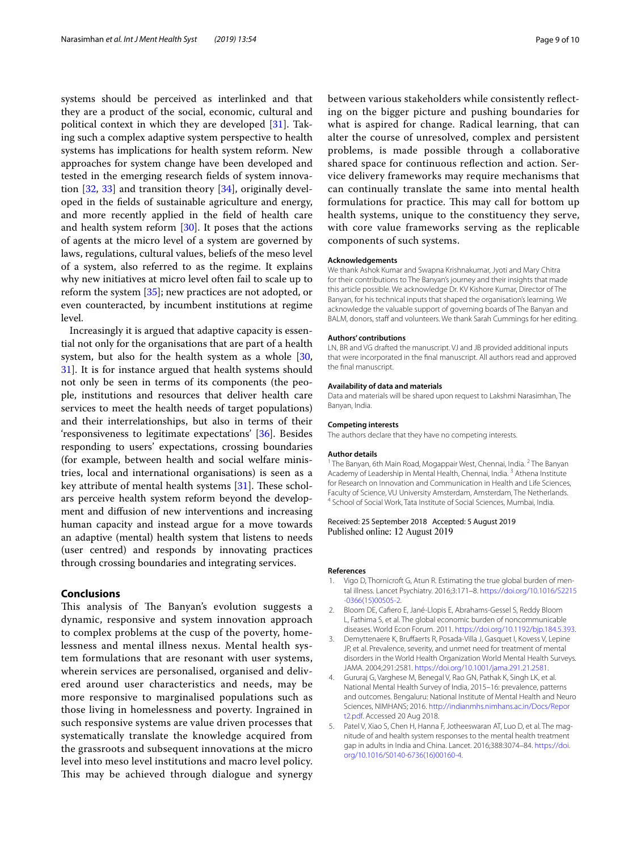systems should be perceived as interlinked and that they are a product of the social, economic, cultural and political context in which they are developed [\[31](#page-9-21)]. Taking such a complex adaptive system perspective to health systems has implications for health system reform. New approaches for system change have been developed and tested in the emerging research felds of system innovation [[32](#page-9-22), [33\]](#page-9-23) and transition theory [\[34](#page-9-24)], originally developed in the felds of sustainable agriculture and energy, and more recently applied in the feld of health care and health system reform  $[30]$  $[30]$  $[30]$ . It poses that the actions of agents at the micro level of a system are governed by laws, regulations, cultural values, beliefs of the meso level of a system, also referred to as the regime. It explains why new initiatives at micro level often fail to scale up to reform the system [\[35](#page-9-25)]; new practices are not adopted, or even counteracted, by incumbent institutions at regime level.

Increasingly it is argued that adaptive capacity is essential not only for the organisations that are part of a health system, but also for the health system as a whole [\[30](#page-9-20), [31\]](#page-9-21). It is for instance argued that health systems should not only be seen in terms of its components (the people, institutions and resources that deliver health care services to meet the health needs of target populations) and their interrelationships, but also in terms of their 'responsiveness to legitimate expectations' [[36\]](#page-9-26). Besides responding to users' expectations, crossing boundaries (for example, between health and social welfare ministries, local and international organisations) is seen as a key attribute of mental health systems  $[31]$  $[31]$ . These scholars perceive health system reform beyond the development and difusion of new interventions and increasing human capacity and instead argue for a move towards an adaptive (mental) health system that listens to needs (user centred) and responds by innovating practices through crossing boundaries and integrating services.

#### **Conclusions**

This analysis of The Banyan's evolution suggests a dynamic, responsive and system innovation approach to complex problems at the cusp of the poverty, homelessness and mental illness nexus. Mental health system formulations that are resonant with user systems, wherein services are personalised, organised and delivered around user characteristics and needs, may be more responsive to marginalised populations such as those living in homelessness and poverty. Ingrained in such responsive systems are value driven processes that systematically translate the knowledge acquired from the grassroots and subsequent innovations at the micro level into meso level institutions and macro level policy. This may be achieved through dialogue and synergy

between various stakeholders while consistently refecting on the bigger picture and pushing boundaries for what is aspired for change. Radical learning, that can alter the course of unresolved, complex and persistent problems, is made possible through a collaborative shared space for continuous refection and action. Service delivery frameworks may require mechanisms that can continually translate the same into mental health formulations for practice. This may call for bottom up health systems, unique to the constituency they serve, with core value frameworks serving as the replicable components of such systems.

#### **Acknowledgements**

We thank Ashok Kumar and Swapna Krishnakumar, Jyoti and Mary Chitra for their contributions to The Banyan's journey and their insights that made this article possible. We acknowledge Dr. KV Kishore Kumar, Director of The Banyan, for his technical inputs that shaped the organisation's learning. We acknowledge the valuable support of governing boards of The Banyan and BALM, donors, staff and volunteers. We thank Sarah Cummings for her editing.

#### **Authors' contributions**

LN, BR and VG drafted the manuscript. VJ and JB provided additional inputs that were incorporated in the fnal manuscript. All authors read and approved the fnal manuscript.

#### **Availability of data and materials**

Data and materials will be shared upon request to Lakshmi Narasimhan, The Banyan, India.

#### **Competing interests**

The authors declare that they have no competing interests.

#### **Author details**

<sup>1</sup> The Banyan, 6th Main Road, Mogappair West, Chennai, India. <sup>2</sup> The Banyan Academy of Leadership in Mental Health, Chennai, India.<sup>3</sup> Athena Institute for Research on Innovation and Communication in Health and Life Sciences, Faculty of Science, VU University Amsterdam, Amsterdam, The Netherlands.<br><sup>4</sup> School of Social Work, Tata Institute of Social Sciences, Mumbai, India.

#### Received: 25 September 2018 Accepted: 5 August 2019 Published online: 12 August 2019

#### **References**

- <span id="page-8-0"></span>1. Vigo D, Thornicroft G, Atun R. Estimating the true global burden of mental illness. Lancet Psychiatry. 2016;3:171–8. [https://doi.org/10.1016/S2215](https://doi.org/10.1016/S2215-0366(15)00505-2) [-0366\(15\)00505-2](https://doi.org/10.1016/S2215-0366(15)00505-2).
- <span id="page-8-1"></span>2. Bloom DE, Cafero E, Jané-Llopis E, Abrahams-Gessel S, Reddy Bloom L, Fathima S, et al. The global economic burden of noncommunicable diseases. World Econ Forum. 2011.<https://doi.org/10.1192/bjp.184.5.393>.
- <span id="page-8-2"></span>3. Demyttenaere K, Brufaerts R, Posada-Villa J, Gasquet I, Kovess V, Lepine JP, et al. Prevalence, severity, and unmet need for treatment of mental disorders in the World Health Organization World Mental Health Surveys. JAMA. 2004;291:2581. [https://doi.org/10.1001/jama.291.21.2581.](https://doi.org/10.1001/jama.291.21.2581)
- <span id="page-8-3"></span>4. Gururaj G, Varghese M, Benegal V, Rao GN, Pathak K, Singh LK, et al. National Mental Health Survey of India, 2015–16: prevalence, patterns and outcomes. Bengaluru: National Institute of Mental Health and Neuro Sciences, NIMHANS; 2016. [http://indianmhs.nimhans.ac.in/Docs/Repor](http://indianmhs.nimhans.ac.in/Docs/Report2.pdf) [t2.pdf.](http://indianmhs.nimhans.ac.in/Docs/Report2.pdf) Accessed 20 Aug 2018.
- <span id="page-8-4"></span>5. Patel V, Xiao S, Chen H, Hanna F, Jotheeswaran AT, Luo D, et al. The magnitude of and health system responses to the mental health treatment gap in adults in India and China. Lancet. 2016;388:3074–84. [https://doi.](https://doi.org/10.1016/S0140-6736(16)00160-4) [org/10.1016/S0140-6736\(16\)00160-4.](https://doi.org/10.1016/S0140-6736(16)00160-4)